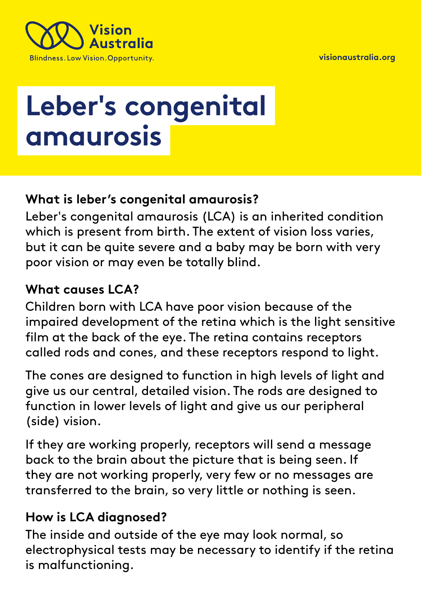



# **Leber's congenital amaurosis**

## **What is leber's congenital amaurosis?**

Leber's congenital amaurosis (LCA) is an inherited condition which is present from birth. The extent of vision loss varies, but it can be quite severe and a baby may be born with very poor vision or may even be totally blind.

## **What causes LCA?**

Children born with LCA have poor vision because of the impaired development of the retina which is the light sensitive film at the back of the eye. The retina contains receptors called rods and cones, and these receptors respond to light.

The cones are designed to function in high levels of light and give us our central, detailed vision. The rods are designed to function in lower levels of light and give us our peripheral (side) vision.

If they are working properly, receptors will send a message back to the brain about the picture that is being seen. If they are not working properly, very few or no messages are transferred to the brain, so very little or nothing is seen.

# **How is LCA diagnosed?**

The inside and outside of the eye may look normal, so electrophysical tests may be necessary to identify if the retina is malfunctioning.